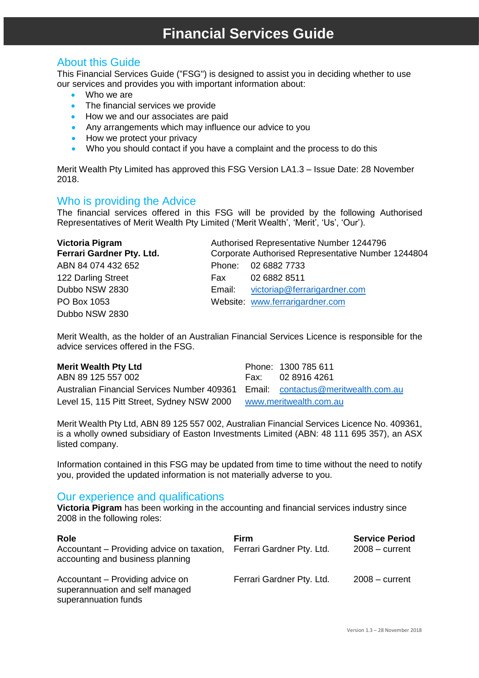# **Financial Services Guide**

### About this Guide

This Financial Services Guide ("FSG") is designed to assist you in deciding whether to use our services and provides you with important information about:

- Who we are
- The financial services we provide
- How we and our associates are paid
- Any arrangements which may influence our advice to you
- How we protect your privacy
- Who you should contact if you have a complaint and the process to do this

Merit Wealth Pty Limited has approved this FSG Version LA1.3 – Issue Date: 28 November 2018.

#### Who is providing the Advice

The financial services offered in this FSG will be provided by the following Authorised Representatives of Merit Wealth Pty Limited ('Merit Wealth', 'Merit', 'Us', 'Our').

| Victoria Pigram           | Authorised Representative Number 1244796 |                                                    |
|---------------------------|------------------------------------------|----------------------------------------------------|
| Ferrari Gardner Pty. Ltd. |                                          | Corporate Authorised Representative Number 1244804 |
| ABN 84 074 432 652        |                                          | Phone: 02 6882 7733                                |
| 122 Darling Street        | Fax                                      | 02 6882 8511                                       |
| Dubbo NSW 2830            | Email:                                   | victoriap@ferrarigardner.com                       |
| PO Box 1053               |                                          | Website: www.ferrarigardner.com                    |
| Dubbo NSW 2830            |                                          |                                                    |

Merit Wealth, as the holder of an Australian Financial Services Licence is responsible for the advice services offered in the FSG.

#### **Merit Wealth Pty Ltd Phone: 1300 785 611**

ABN 89 125 557 002 Fax: 02 8916 4261 Australian Financial Services Number 409361 Email: [contactus@meritwealth.com.au](mailto:contactus@meritwealth.com.au)  Level 15, 115 Pitt Street, Sydney NSW 2000 [www.meritwealth.com.au](http://www.meritwealth.com.au/)

Merit Wealth Pty Ltd, ABN 89 125 557 002, Australian Financial Services Licence No. 409361, is a wholly owned subsidiary of Easton Investments Limited (ABN: 48 111 695 357), an ASX listed company.

Information contained in this FSG may be updated from time to time without the need to notify you, provided the updated information is not materially adverse to you.

#### Our experience and qualifications

**Victoria Pigram** has been working in the accounting and financial services industry since 2008 in the following roles:

| <b>Role</b><br>Accountant – Providing advice on taxation,<br>accounting and business planning | Firm<br>Ferrari Gardner Pty. Ltd. | <b>Service Period</b><br>$2008 - current$ |
|-----------------------------------------------------------------------------------------------|-----------------------------------|-------------------------------------------|
| Accountant – Providing advice on<br>superannuation and self managed<br>superannuation funds   | Ferrari Gardner Pty. Ltd.         | $2008 - current$                          |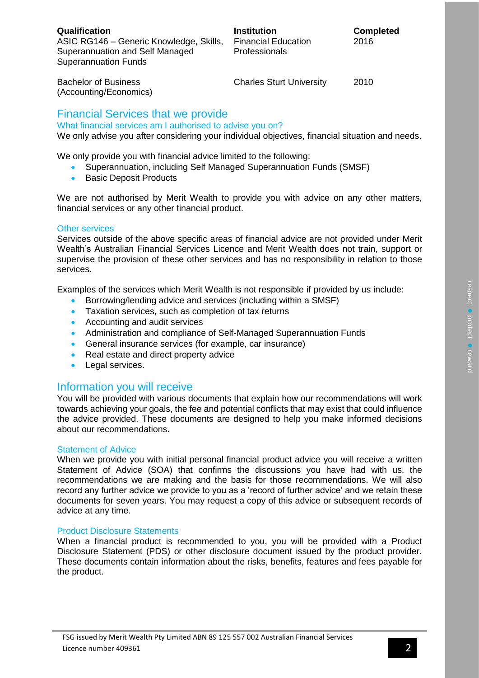Bachelor of Business (Accounting/Economics) Charles Sturt University 2010

# Financial Services that we provide

What financial services am I authorised to advise you on? We only advise you after considering your individual objectives, financial situation and needs.

We only provide you with financial advice limited to the following:

- Superannuation, including Self Managed Superannuation Funds (SMSF)
- Basic Deposit Products

We are not authorised by Merit Wealth to provide you with advice on any other matters, financial services or any other financial product.

#### Other services

Services outside of the above specific areas of financial advice are not provided under Merit Wealth's Australian Financial Services Licence and Merit Wealth does not train, support or supervise the provision of these other services and has no responsibility in relation to those services.

Examples of the services which Merit Wealth is not responsible if provided by us include:

- Borrowing/lending advice and services (including within a SMSF)
- Taxation services, such as completion of tax returns
- Accounting and audit services
- Administration and compliance of Self-Managed Superannuation Funds
- General insurance services (for example, car insurance)
- Real estate and direct property advice
- Legal services.

# Information you will receive

You will be provided with various documents that explain how our recommendations will work towards achieving your goals, the fee and potential conflicts that may exist that could influence the advice provided. These documents are designed to help you make informed decisions about our recommendations.

#### Statement of Advice

When we provide you with initial personal financial product advice you will receive a written Statement of Advice (SOA) that confirms the discussions you have had with us, the recommendations we are making and the basis for those recommendations. We will also record any further advice we provide to you as a 'record of further advice' and we retain these documents for seven years. You may request a copy of this advice or subsequent records of advice at any time.

#### Product Disclosure Statements

When a financial product is recommended to you, you will be provided with a Product Disclosure Statement (PDS) or other disclosure document issued by the product provider. These documents contain information about the risks, benefits, features and fees payable for the product.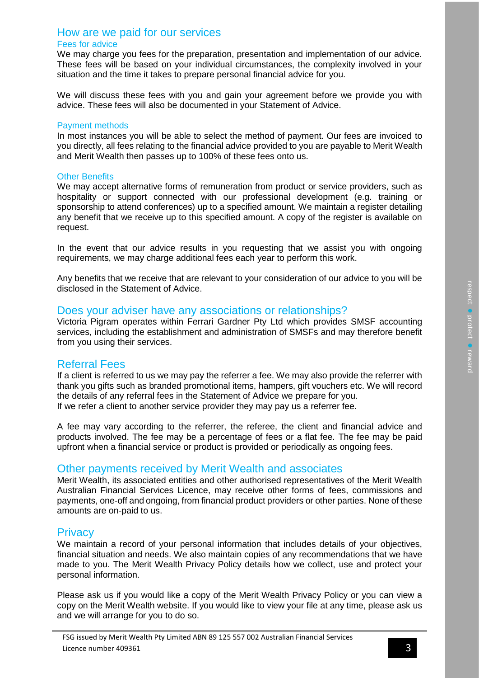#### How are we paid for our services Fees for advice

We may charge you fees for the preparation, presentation and implementation of our advice. These fees will be based on your individual circumstances, the complexity involved in your situation and the time it takes to prepare personal financial advice for you.

We will discuss these fees with you and gain your agreement before we provide you with advice. These fees will also be documented in your Statement of Advice.

#### Payment methods

In most instances you will be able to select the method of payment. Our fees are invoiced to you directly, all fees relating to the financial advice provided to you are payable to Merit Wealth and Merit Wealth then passes up to 100% of these fees onto us.

#### Other Benefits

We may accept alternative forms of remuneration from product or service providers, such as hospitality or support connected with our professional development (e.g. training or sponsorship to attend conferences) up to a specified amount. We maintain a register detailing any benefit that we receive up to this specified amount. A copy of the register is available on request.

In the event that our advice results in you requesting that we assist you with ongoing requirements, we may charge additional fees each year to perform this work.

Any benefits that we receive that are relevant to your consideration of our advice to you will be disclosed in the Statement of Advice.

#### Does your adviser have any associations or relationships?

Victoria Pigram operates within Ferrari Gardner Pty Ltd which provides SMSF accounting services, including the establishment and administration of SMSFs and may therefore benefit from you using their services.

# Referral Fees

If a client is referred to us we may pay the referrer a fee. We may also provide the referrer with thank you gifts such as branded promotional items, hampers, gift vouchers etc. We will record the details of any referral fees in the Statement of Advice we prepare for you. If we refer a client to another service provider they may pay us a referrer fee.

A fee may vary according to the referrer, the referee, the client and financial advice and products involved. The fee may be a percentage of fees or a flat fee. The fee may be paid upfront when a financial service or product is provided or periodically as ongoing fees.

# Other payments received by Merit Wealth and associates

Merit Wealth, its associated entities and other authorised representatives of the Merit Wealth Australian Financial Services Licence, may receive other forms of fees, commissions and payments, one-off and ongoing, from financial product providers or other parties. None of these amounts are on-paid to us.

#### **Privacy**

We maintain a record of your personal information that includes details of your objectives, financial situation and needs. We also maintain copies of any recommendations that we have made to you. The Merit Wealth Privacy Policy details how we collect, use and protect your personal information.

Please ask us if you would like a copy of the Merit Wealth Privacy Policy or you can view a copy on the Merit Wealth website. If you would like to view your file at any time, please ask us and we will arrange for you to do so.